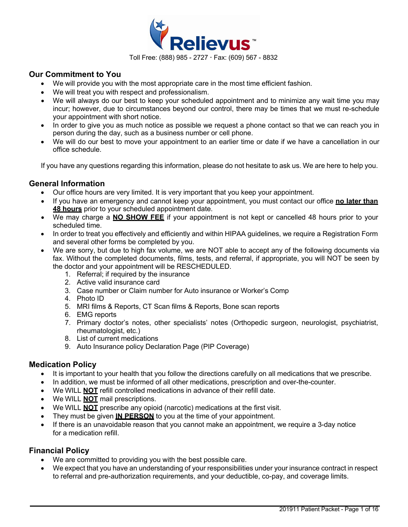

### **Our Commitment to You**

- We will provide you with the most appropriate care in the most time efficient fashion.
- We will treat you with respect and professionalism.
- We will always do our best to keep your scheduled appointment and to minimize any wait time you may incur; however, due to circumstances beyond our control, there may be times that we must re-schedule your appointment with short notice.
- In order to give you as much notice as possible we request a phone contact so that we can reach you in person during the day, such as a business number or cell phone.
- We will do our best to move your appointment to an earlier time or date if we have a cancellation in our office schedule.

If you have any questions regarding this information, please do not hesitate to ask us. We are here to help you.

### **General Information**

- Our office hours are very limited. It is very important that you keep your appointment.
- If you have an emergency and cannot keep your appointment, you must contact our office **no later than 48 hours** prior to your scheduled appointment date.
- We may charge a **NO SHOW FEE** if your appointment is not kept or cancelled 48 hours prior to your scheduled time.
- In order to treat you effectively and efficiently and within HIPAA guidelines, we require a Registration Form and several other forms be completed by you.
- We are sorry, but due to high fax volume, we are NOT able to accept any of the following documents via fax. Without the completed documents, films, tests, and referral, if appropriate, you will NOT be seen by the doctor and your appointment will be RESCHEDULED.
	- 1. Referral; if required by the insurance
	- 2. Active valid insurance card
	- 3. Case number or Claim number for Auto insurance or Worker's Comp
	- 4. Photo ID
	- 5. MRI films & Reports, CT Scan films & Reports, Bone scan reports
	- 6. EMG reports
	- 7. Primary doctor's notes, other specialists' notes (Orthopedic surgeon, neurologist, psychiatrist, rheumatologist, etc.)
	- 8. List of current medications
	- 9. Auto Insurance policy Declaration Page (PIP Coverage)

### **Medication Policy**

- It is important to your health that you follow the directions carefully on all medications that we prescribe.
- In addition, we must be informed of all other medications, prescription and over-the-counter.
- We WILL **NOT** refill controlled medications in advance of their refill date.
- We WILL **NOT** mail prescriptions.
- We WILL **NOT** prescribe any opioid (narcotic) medications at the first visit.
- They must be given **IN PERSON** to you at the time of your appointment.
- If there is an unavoidable reason that you cannot make an appointment, we require a 3-day notice for a medication refill

### **Financial Policy**

- We are committed to providing you with the best possible care.
- We expect that you have an understanding of your responsibilities under your insurance contract in respect to referral and pre-authorization requirements, and your deductible, co-pay, and coverage limits.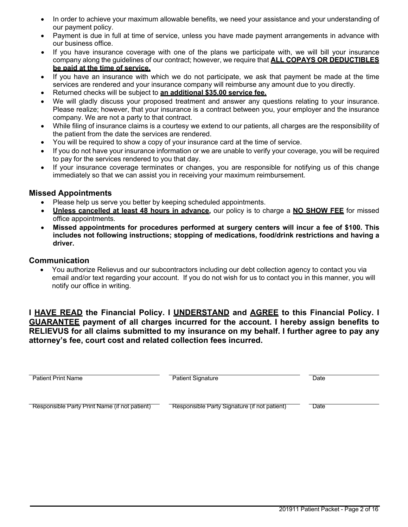- In order to achieve your maximum allowable benefits, we need your assistance and your understanding of our payment policy.
- Payment is due in full at time of service, unless you have made payment arrangements in advance with our business office.
- If you have insurance coverage with one of the plans we participate with, we will bill your insurance company along the guidelines of our contract; however, we require that **ALL COPAYS OR DEDUCTIBLES be paid at the time of service.**
- If you have an insurance with which we do not participate, we ask that payment be made at the time services are rendered and your insurance company will reimburse any amount due to you directly.
- Returned checks will be subject to **an additional \$35.00 service fee.**
- We will gladly discuss your proposed treatment and answer any questions relating to your insurance. Please realize; however, that your insurance is a contract between you, your employer and the insurance company. We are not a party to that contract.
- While filing of insurance claims is a courtesy we extend to our patients, all charges are the responsibility of the patient from the date the services are rendered.
- You will be required to show a copy of your insurance card at the time of service.
- If you do not have your insurance information or we are unable to verify your coverage, you will be required to pay for the services rendered to you that day.
- If your insurance coverage terminates or changes, you are responsible for notifying us of this change immediately so that we can assist you in receiving your maximum reimbursement.

## **Missed Appointments**

- Please help us serve you better by keeping scheduled appointments.
- **Unless cancelled at least 48 hours in advance,** our policy is to charge a **NO SHOW FEE** for missed office appointments.
- **Missed appointments for procedures performed at surgery centers will incur a fee of \$100. This includes not following instructions; stopping of medications, food/drink restrictions and having a driver.**

## **Communication**

• You authorize Relievus and our subcontractors including our debt collection agency to contact you via email and/or text regarding your account. If you do not wish for us to contact you in this manner, you will notify our office in writing.

**I HAVE READ the Financial Policy. I UNDERSTAND and AGREE to this Financial Policy. I GUARANTEE payment of all charges incurred for the account. I hereby assign benefits to RELIEVUS for all claims submitted to my insurance on my behalf. I further agree to pay any attorney's fee, court cost and related collection fees incurred.**

| <b>Patient Print Name</b>                     | <b>Patient Signature</b>                     | Date |
|-----------------------------------------------|----------------------------------------------|------|
| Responsible Party Print Name (if not patient) | Responsible Party Signature (if not patient) | Date |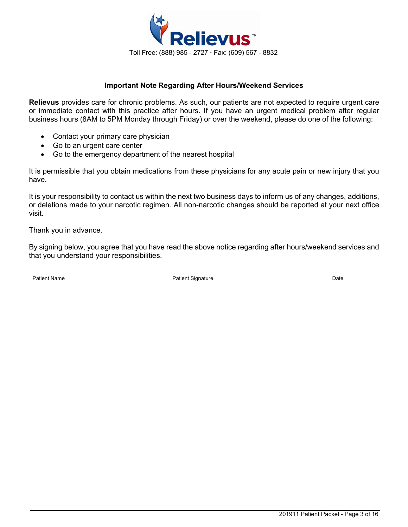

### **Important Note Regarding After Hours/Weekend Services**

**Relievus** provides care for chronic problems. As such, our patients are not expected to require urgent care or immediate contact with this practice after hours. If you have an urgent medical problem after regular business hours (8AM to 5PM Monday through Friday) or over the weekend, please do one of the following:

- Contact your primary care physician
- Go to an urgent care center
- Go to the emergency department of the nearest hospital

It is permissible that you obtain medications from these physicians for any acute pain or new injury that you have.

It is your responsibility to contact us within the next two business days to inform us of any changes, additions, or deletions made to your narcotic regimen. All non-narcotic changes should be reported at your next office visit.

Thank you in advance.

By signing below, you agree that you have read the above notice regarding after hours/weekend services and that you understand your responsibilities.

Patient Name **Date Contains Container Container Container Container Container Container Container Container Date**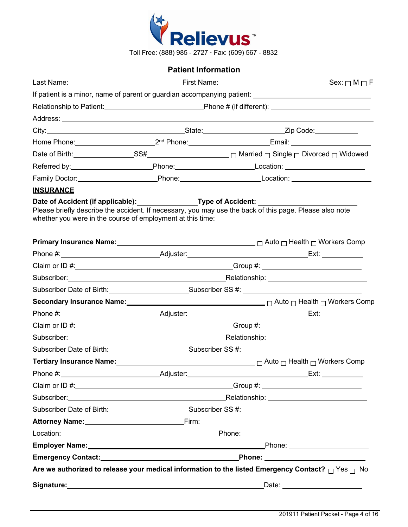

## **Patient Information**

|                  |                                                                                                                                                                                                                               |  | Sex: $\Box$ M $\Box$ F                                                                                                                                                                                                                                                               |
|------------------|-------------------------------------------------------------------------------------------------------------------------------------------------------------------------------------------------------------------------------|--|--------------------------------------------------------------------------------------------------------------------------------------------------------------------------------------------------------------------------------------------------------------------------------------|
|                  |                                                                                                                                                                                                                               |  |                                                                                                                                                                                                                                                                                      |
|                  |                                                                                                                                                                                                                               |  |                                                                                                                                                                                                                                                                                      |
|                  |                                                                                                                                                                                                                               |  |                                                                                                                                                                                                                                                                                      |
|                  |                                                                                                                                                                                                                               |  |                                                                                                                                                                                                                                                                                      |
|                  |                                                                                                                                                                                                                               |  | Home Phone: 2 <sup>nd</sup> Phone: 2 <sup>nd</sup> Phone: Email: 2001.                                                                                                                                                                                                               |
|                  |                                                                                                                                                                                                                               |  |                                                                                                                                                                                                                                                                                      |
|                  |                                                                                                                                                                                                                               |  |                                                                                                                                                                                                                                                                                      |
|                  |                                                                                                                                                                                                                               |  | Family Doctor: _____________________________Phone: ______________________________                                                                                                                                                                                                    |
| <b>INSURANCE</b> |                                                                                                                                                                                                                               |  | Date of Accident (if applicable):_________________Type of Accident: _______________________________<br>Please briefly describe the accident. If necessary, you may use the back of this page. Please also note                                                                       |
|                  |                                                                                                                                                                                                                               |  | <b>Primary Insurance Name:</b> $\Box$ <b>Primary Insurance Name:</b> $\Box$ <b>Primary Insurance Name:</b> $\Box$ <b>Primary Insurance Name:</b> $\Box$ <b>Primary Insurance Name:</b> $\Box$ <b>Primary Insurance Name:</b> $\Box$ <b>Primary Insurance Name:</b> $\Box$ <b>Pri</b> |
|                  |                                                                                                                                                                                                                               |  |                                                                                                                                                                                                                                                                                      |
|                  |                                                                                                                                                                                                                               |  |                                                                                                                                                                                                                                                                                      |
|                  | Subscriber: Nelationship: Nelationship: Nelationship: Nelationship: Nelationship: Nelationship: Nelationship: Nelationship: Nelationship: Nelationship: Nelationship: Nelationship: Nelationship: Nelationship: Nelationship: |  |                                                                                                                                                                                                                                                                                      |
|                  |                                                                                                                                                                                                                               |  | Subscriber Date of Birth: Subscriber SS #: Contract Date of Birth:                                                                                                                                                                                                                   |
|                  |                                                                                                                                                                                                                               |  |                                                                                                                                                                                                                                                                                      |
|                  |                                                                                                                                                                                                                               |  |                                                                                                                                                                                                                                                                                      |
|                  |                                                                                                                                                                                                                               |  |                                                                                                                                                                                                                                                                                      |
|                  |                                                                                                                                                                                                                               |  | Subscriber: Nelationship: Nelationship: Nelationship: Nelationship: Nelationship: Nelationship: Nelationship: Nelationship: Nelationship: Nelationship: Nelationship: Nelationship: Nelationship: Nelationship: Nelationship:                                                        |
|                  |                                                                                                                                                                                                                               |  | Subscriber Date of Birth:___________________________Subscriber SS #: _______________________________                                                                                                                                                                                 |
|                  |                                                                                                                                                                                                                               |  | <b>Tertiary Insurance Name:</b> Mamerous Compared and Tertiary Insurance Name: Manual Compared and Tertiary Insurance N                                                                                                                                                              |
|                  |                                                                                                                                                                                                                               |  |                                                                                                                                                                                                                                                                                      |
|                  |                                                                                                                                                                                                                               |  |                                                                                                                                                                                                                                                                                      |
|                  |                                                                                                                                                                                                                               |  | Subscriber: Nelationship: Nelationship: Nelationship: Nelationship: Nelationship:                                                                                                                                                                                                    |
|                  |                                                                                                                                                                                                                               |  | Subscriber Date of Birth: Subscriber SS #: Cubscriber SS #: Cubscriber SS #: Cubscriber Date of Birth:                                                                                                                                                                               |
|                  |                                                                                                                                                                                                                               |  | Attorney Name: <u>Attorney Name:</u> Firm: Firm: <b>Attorney Name:</b> Firm: 2004                                                                                                                                                                                                    |
|                  |                                                                                                                                                                                                                               |  |                                                                                                                                                                                                                                                                                      |
|                  |                                                                                                                                                                                                                               |  | Employer Name: <u>Name: All and the Contract of Contract of Contract of Contract of Contract of Contract of Contract of Contract of Contract of Contract of Contract of Contract of Contract of Contract of Contract of Contract</u>                                                 |
|                  |                                                                                                                                                                                                                               |  | Emergency Contact: National Contract Contract: National Phone: National Phone: National Phone: National Phone:                                                                                                                                                                       |
|                  |                                                                                                                                                                                                                               |  | Are we authorized to release your medical information to the listed Emergency Contact? $\Box$ Yes $\Box$ No                                                                                                                                                                          |
|                  |                                                                                                                                                                                                                               |  |                                                                                                                                                                                                                                                                                      |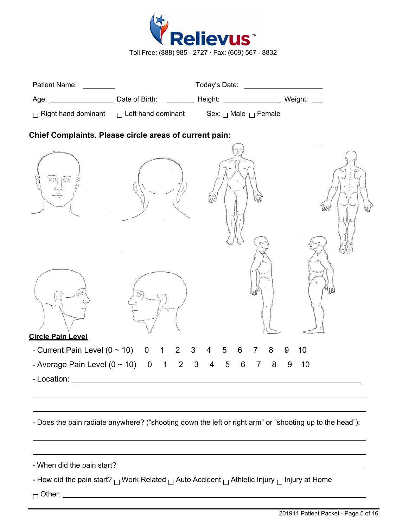

|                                                        |                               | Today's Date: _____________________                                                 |         |
|--------------------------------------------------------|-------------------------------|-------------------------------------------------------------------------------------|---------|
|                                                        |                               |                                                                                     |         |
|                                                        |                               | $\Box$ Right hand dominant $\Box$ Left hand dominant Sex: $\Box$ Male $\Box$ Female |         |
| Chief Complaints. Please circle areas of current pain: |                               |                                                                                     |         |
|                                                        |                               |                                                                                     |         |
| <b>Circle Pain Level</b>                               |                               |                                                                                     | YUN     |
| - Current Pain Level $(0 \sim 10)$ 0 1                 | $\overline{2}$                | 3<br>8<br>5<br>4<br>6                                                               | 10<br>9 |
| - Average Pain Level $(0 \sim 10)$ 0                   | 2<br>$\overline{\phantom{1}}$ | $\mathfrak{Z}$<br>8<br>5<br>6<br>4<br>7                                             | 10<br>9 |
| - Location:                                            |                               |                                                                                     |         |

- How did the pain start?  $\Box$  Work Related  $\Box$  Auto Accident  $\Box$  Athletic Injury  $\Box$  Injury at Home

□ Other: \_\_\_\_\_\_\_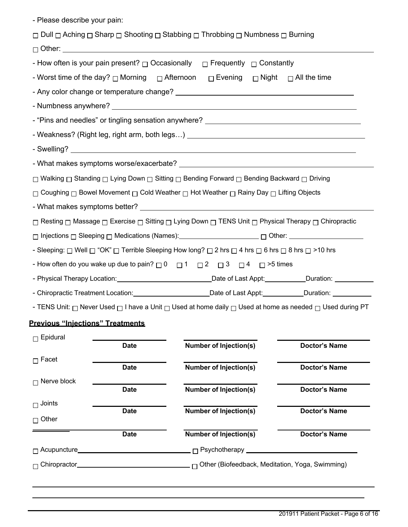| - Please describe your pain:                                                                        |                                                  |                                                                                                                                           |                      |
|-----------------------------------------------------------------------------------------------------|--------------------------------------------------|-------------------------------------------------------------------------------------------------------------------------------------------|----------------------|
|                                                                                                     |                                                  | □ Dull □ Aching □ Sharp □ Shooting □ Stabbing □ Throbbing □ Numbness □ Burning                                                            |                      |
|                                                                                                     |                                                  |                                                                                                                                           |                      |
|                                                                                                     |                                                  | - How often is your pain present? $\Box$ Occasionally $\Box$ Frequently $\Box$ Constantly                                                 |                      |
|                                                                                                     |                                                  | - Worst time of the day?  □ Morning   □ Afternoon   □ Evening   □ Night   □ All the time                                                  |                      |
|                                                                                                     |                                                  |                                                                                                                                           |                      |
|                                                                                                     |                                                  |                                                                                                                                           |                      |
|                                                                                                     |                                                  | - "Pins and needles" or tingling sensation anywhere? ____________________________                                                         |                      |
|                                                                                                     |                                                  |                                                                                                                                           |                      |
|                                                                                                     |                                                  |                                                                                                                                           |                      |
|                                                                                                     |                                                  |                                                                                                                                           |                      |
|                                                                                                     |                                                  | □ Walking □ Standing □ Lying Down □ Sitting □ Bending Forward □ Bending Backward □ Driving                                                |                      |
|                                                                                                     |                                                  | $□$ Coughing $□$ Bowel Movement $□$ Cold Weather $□$ Hot Weather $□$ Rainy Day $□$ Lifting Objects                                        |                      |
|                                                                                                     |                                                  |                                                                                                                                           |                      |
|                                                                                                     |                                                  | □ Resting □ Massage □ Exercise □ Sitting □ Lying Down □ TENS Unit □ Physical Therapy □ Chiropractic                                       |                      |
| □ Injections □ Sleeping □ Medications (Names): _____________________ □ Other: _____________________ |                                                  |                                                                                                                                           |                      |
|                                                                                                     |                                                  | - Sleeping: $\Box$ Well $\Box$ "OK" $\Box$ Terrible Sleeping How long? $\Box$ 2 hrs $\Box$ 4 hrs $\Box$ 6 hrs $\Box$ 8 hrs $\Box$ >10 hrs |                      |
|                                                                                                     |                                                  | - How often do you wake up due to pain? $\Box$ 0 $\Box$ 1 $\Box$ 2 $\Box$ 3 $\Box$ 4 $\Box$ >5 times                                      |                      |
|                                                                                                     |                                                  |                                                                                                                                           |                      |
|                                                                                                     |                                                  | - Chiropractic Treatment Location: Calcularies Chate of Last Appt: Chiropractic Treatment Location:                                       |                      |
|                                                                                                     |                                                  | - TENS Unit: $\Box$ Never Used $\Box$ I have a Unit $\Box$ Used at home daily $\Box$ Used at home as needed $\Box$ Used during PT         |                      |
| <b>Previous "Iniections" Treatments</b>                                                             |                                                  |                                                                                                                                           |                      |
| $\Box$ Epidural                                                                                     |                                                  |                                                                                                                                           |                      |
|                                                                                                     | <b>Date</b>                                      | <b>Number of Injection(s)</b>                                                                                                             | <b>Doctor's Name</b> |
| $\Box$ Facet                                                                                        | <b>Date</b>                                      | <b>Number of Injection(s)</b>                                                                                                             | <b>Doctor's Name</b> |
| $\Box$ Nerve block                                                                                  |                                                  |                                                                                                                                           |                      |
|                                                                                                     | <b>Date</b>                                      | <b>Number of Injection(s)</b>                                                                                                             | <b>Doctor's Name</b> |
| $\Box$ Joints                                                                                       | <b>Date</b>                                      | <b>Number of Injection(s)</b>                                                                                                             | <b>Doctor's Name</b> |
| $\sqcap$ Other                                                                                      |                                                  |                                                                                                                                           |                      |
|                                                                                                     | <b>Date</b>                                      | <b>Number of Injection(s)</b>                                                                                                             | <b>Doctor's Name</b> |
|                                                                                                     | □ Acupuncture___________________________________ |                                                                                                                                           |                      |
|                                                                                                     |                                                  |                                                                                                                                           |                      |
|                                                                                                     |                                                  |                                                                                                                                           |                      |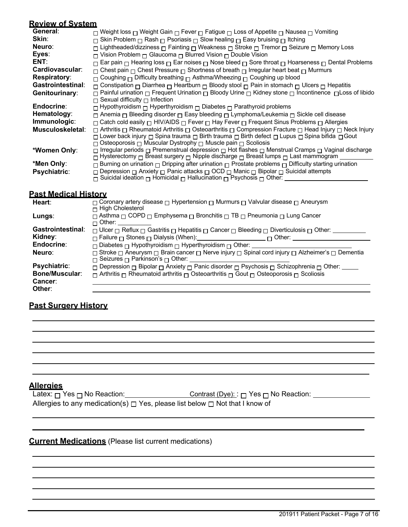### **Review of System**

| General:                 | $□$ Weight loss $□$ Weight Gain $□$ Fever $□$ Fatigue $□$ Loss of Appetite $□$ Nausea $□$ Vomiting                                                                                                                                         |
|--------------------------|--------------------------------------------------------------------------------------------------------------------------------------------------------------------------------------------------------------------------------------------|
| Skin:                    | $\Box$ Skin Problem $\Box$ Rash $\Box$ Psoriasis $\Box$ Slow healing $\Box$ Easy bruising $\Box$ Itching                                                                                                                                   |
| Neuro:                   | □ Lightheaded/dizziness □ Fainting □ Weakness □ Stroke □ Tremor □ Seizure □ Memory Loss                                                                                                                                                    |
| Eyes:                    | $\Box$ Vision Problem $\Box$ Glaucoma $\Box$ Blurred Vision $\Box$ Double Vision                                                                                                                                                           |
| ENT:                     | $\Box$ Ear pain $\Box$ Hearing loss $\Box$ Ear noises $\Box$ Nose bleed $\Box$ Sore throat $\Box$ Hoarseness $\Box$ Dental Problems                                                                                                        |
| Cardiovascular:          | $\Box$ Chest pain $\Box$ Chest Pressure $\Box$ Shortness of breath $\Box$ Irregular heart beat $\Box$ Murmurs                                                                                                                              |
| <b>Respiratory:</b>      | $\Box$ Coughing $\Box$ Difficulty breathing $\Box$ Asthma/Wheezing $\Box$ Coughing up blood                                                                                                                                                |
| <b>Gastrointestinal:</b> | $\Box$ Constipation $\Box$ Diarrhea $\Box$ Heartburn $\Box$ Bloody stool $\Box$ Pain in stomach $\Box$ Ulcers $\Box$ Hepatitis                                                                                                             |
| Genitourinary:           | D Painful urination n Frequent Urination n Bloody Urine n Kidney stone n Incontinence n Loss of libido                                                                                                                                     |
|                          | $\Box$ Sexual difficulty $\Box$ Infection                                                                                                                                                                                                  |
| Endocrine:               | $\Box$ Hypothyroidism $\Box$ Hyperthyroidism $\Box$ Diabetes $\Box$ Parathyroid problems                                                                                                                                                   |
| Hematology:              | $\Box$ Anemia $\Box$ Bleeding disorder $\Box$ Easy bleeding $\Box$ Lymphoma/Leukemia $\Box$ Sickle cell disease                                                                                                                            |
| Immunologic:             | □ Catch cold easily □ HIV/AIDS □ Fever □ Hay Fever □ Frequent Sinus Problems □ Allergies                                                                                                                                                   |
| Musculoskeletal:         | □ Arthritis □ Rheumatoid Arthritis □ Osteoarthritis □ Compression Fracture □ Head Injury □ Neck Injury                                                                                                                                     |
|                          | □ Lower back injury □ Spina trauma □ Birth trauma □ Birth defect □ Lupus □ Spina bifida □ Gout                                                                                                                                             |
|                          | $\Box$ Osteoporosis $\Box$ Muscular Dystrophy $\Box$ Muscle pain $\Box$ Scoliosis                                                                                                                                                          |
| *Women Only:             | $\Box$ Irregular periods $\Box$ Premenstrual depression $\Box$ Hot flashes $\Box$ Menstrual Cramps $\Box$ Vaginal discharge<br>$\Box$ Hysterectomy $\Box$ Breast surgery $\Box$ Nipple discharge $\Box$ Breast lumps $\Box$ Last mammogram |
| *Men Only:               | $\Box$ Burning on urination $\Box$ Dripping after urination $\Box$ Prostate problems $\Box$ Difficulty starting urination                                                                                                                  |
|                          | $\Box$ Depression $\Box$ Anxiety $\Box$ Panic attacks $\Box$ OCD $\Box$ Manic $\Box$ Bipolar $\Box$ Suicidal attempts                                                                                                                      |
| <b>Psychiatric:</b>      | $\Box$ Suicidal ideation $\Box$ Homicidal $\Box$ Hallucination $\Box$ Psychosis $\Box$ Other:                                                                                                                                              |
|                          |                                                                                                                                                                                                                                            |
|                          |                                                                                                                                                                                                                                            |

# **Past Medical History**

| □ Coronary artery disease □ Hypertension □ Murmurs □ Valvular disease □ Aneurysm<br>$\sqcap$ High Cholesterol                                       |
|-----------------------------------------------------------------------------------------------------------------------------------------------------|
| $\Box$ Asthma $\Box$ COPD $\Box$ Emphysema $\Box$ Bronchitis $\Box$ TB $\Box$ Pneumonia $\Box$ Lung Cancer<br>$\sqcap$ Other:                       |
| $\Box$ Ulcer $\Box$ Reflux $\Box$ Gastritis $\Box$ Hepatitis $\Box$ Cancer $\Box$ Bleeding $\Box$ Diverticulosis $\Box$ Other: _____                |
|                                                                                                                                                     |
| $\Box$ Diabetes $\Box$ Hypothyroidism $\Box$ Hyperthyroidism $\Box$ Other:                                                                          |
| □ Stroke □ Aneurysm □ Brain cancer □ Nerve injury □ Spinal cord injury □ Alzheimer's □ Dementia<br>$\Box$ Seizures $\Box$ Parkinson's $\Box$ Other: |
| Other: Other: Bipolar <sub>D</sub> Anxiety <sub>D</sub> Panic disorder <sub>D</sub> Psychosis <sub>D</sub> Schizophrenia <sub>D</sub> Other: Other: |
| $\Box$ Arthritis $\Box$ Rheumatoid arthritis $\Box$ Osteoarthritis $\Box$ Gout $\Box$ Osteoporosis $\Box$ Scoliosis                                 |
|                                                                                                                                                     |
|                                                                                                                                                     |
|                                                                                                                                                     |

# **Past Surgery History**

# **Allergies**

| Latex: $\Box$ Yes $\Box$ No Reaction: | <u>Contrast (Dye):</u> $\sqcap$ Yes $\sqcap$ No Reaction:                              |
|---------------------------------------|----------------------------------------------------------------------------------------|
|                                       | Allergies to any medication(s) $\Box$ Yes, please list below $\Box$ Not that I know of |

# **Current Medications** (Please list current medications)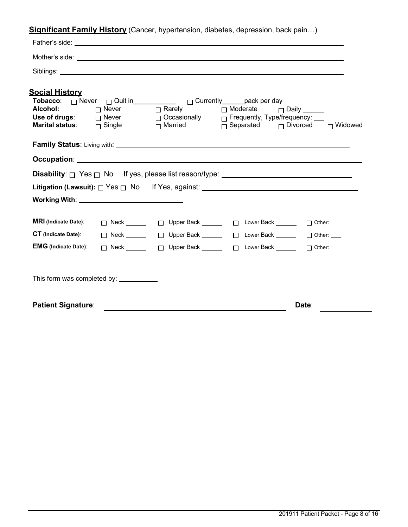**Significant Family History** (Cancer, hypertension, diabetes, depression, back pain…)

| <u>Social Historv</u>                              |              |                                                                                                                                     |       |
|----------------------------------------------------|--------------|-------------------------------------------------------------------------------------------------------------------------------------|-------|
| Alcohol:                                           | $\Box$ Never | Tobacco: □ Never □ Quit in ___________ □ Currently _____ pack per day<br>$\square$ Rarely $\square$ Moderate $\square$ Daily ______ |       |
|                                                    |              | Use of drugs: $\Box$ Never $\Box$ Occasionally $\Box$ Frequently, Type/frequency: $\Box$                                            |       |
| <b>Marital status:</b> $\qquad \qquad \Box$ Single |              | $\Box$ Married $\Box$ Separated $\Box$ Divorced $\Box$ Widowed                                                                      |       |
|                                                    |              |                                                                                                                                     |       |
|                                                    |              |                                                                                                                                     |       |
|                                                    |              | <b>Disability</b> : $\Box$ Yes $\Box$ No If yes, please list reason/type: $\Box$                                                    |       |
|                                                    |              | Litigation (Lawsuit): □ Yes □ No If Yes, against: ______________________________                                                    |       |
| Working With: <u>_____________________________</u> |              |                                                                                                                                     |       |
| <b>MRI</b> (Indicate Date):                        |              | □ Neck ______  □ Upper Back ______  □ Lower Back ______  □ Other: ___                                                               |       |
| <b>CT</b> (Indicate Date):                         |              | □ Neck ______  □ Upper Back ______  □ Lower Back ______  □ Other: ___                                                               |       |
| <b>EMG</b> (Indicate Date):                        |              | □ Neck ______  □ Upper Back ______  □ Lower Back ______  □ Other: ___                                                               |       |
|                                                    |              |                                                                                                                                     |       |
| <b>Patient Signature:</b>                          |              |                                                                                                                                     | Date: |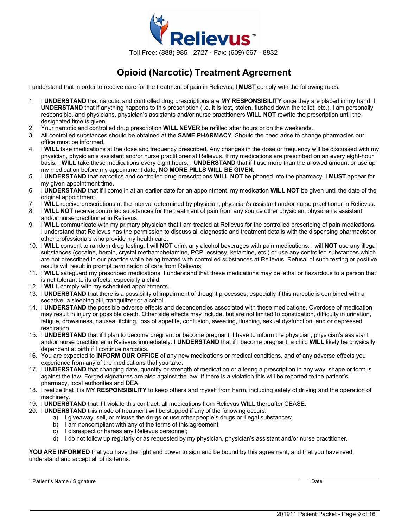

# **Opioid (Narcotic) Treatment Agreement**

I understand that in order to receive care for the treatment of pain in Relievus, I **MUST** comply with the following rules:

- 1. I **UNDERSTAND** that narcotic and controlled drug prescriptions are **MY RESPONSIBILITY** once they are placed in my hand. I **UNDERSTAND** that if anything happens to this prescription (i.e. it is lost, stolen, flushed down the toilet, etc.), I am personally responsible, and physicians, physician's assistants and/or nurse practitioners **WILL NOT** rewrite the prescription until the designated time is given.
- 2. Your narcotic and controlled drug prescription **WILL NEVER** be refilled after hours or on the weekends.
- 3. All controlled substances should be obtained at the **SAME PHARMACY**. Should the need arise to change pharmacies our office must be informed.
- 4. I **WILL** take medications at the dose and frequency prescribed. Any changes in the dose or frequency will be discussed with my physician, physician's assistant and/or nurse practitioner at Relievus. If my medications are prescribed on an every eight-hour basis, I **WILL** take these medications every eight hours. I **UNDERSTAND** that if I use more than the allowed amount or use up my medication before my appointment date, **NO MORE PILLS WILL BE GIVEN**.
- 5. I **UNDERSTAND** that narcotics and controlled drug prescriptions **WILL NOT** be phoned into the pharmacy. I **MUST** appear for my given appointment time.
- 6. I **UNDERSTAND** that if I come in at an earlier date for an appointment, my medication **WILL NOT** be given until the date of the original appointment.
- 7. I **WILL** receive prescriptions at the interval determined by physician, physician's assistant and/or nurse practitioner in Relievus.
- 8. I **WILL NOT** receive controlled substances for the treatment of pain from any source other physician, physician's assistant and/or nurse practitioner in Relievus.
- 9. I **WILL** communicate with my primary physician that I am treated at Relievus for the controlled prescribing of pain medications. I understand that Relievus has the permission to discuss all diagnostic and treatment details with the dispensing pharmacist or other professionals who provide my health care.
- 10. I **WILL** consent to random drug testing. I will **NOT** drink any alcohol beverages with pain medications. I will **NOT** use any illegal substances (cocaine, heroin, crystal methamphetamine, PCP, ecstasy, ketamine, etc.) or use any controlled substances which are not prescribed in our practice while being treated with controlled substances at Relievus. Refusal of such testing or positive results will result in prompt termination of care from Relievus.
- 11. I **WILL** safeguard my prescribed medications. I understand that these medications may be lethal or hazardous to a person that is not tolerant to its affects, especially a child.
- 12. I **WILL** comply with my scheduled appointments.
- 13. I **UNDERSTAND** that there is a possibility of impairment of thought processes, especially if this narcotic is combined with a sedative, a sleeping pill, tranquilizer or alcohol.
- 14. I **UNDERSTAND** the possible adverse effects and dependencies associated with these medications. Overdose of medication may result in injury or possible death. Other side effects may include, but are not limited to constipation, difficulty in urination, fatigue, drowsiness, nausea, itching, loss of appetite, confusion, sweating, flushing, sexual dysfunction, and or depressed respiration.
- 15. I **UNDERSTAND** that if I plan to become pregnant or become pregnant, I have to inform the physician, physician's assistant and/or nurse practitioner in Relievus immediately. I **UNDERSTAND** that if I become pregnant, a child **WILL** likely be physically dependent at birth if I continue narcotics.
- 16. You are expected to **INFORM OUR OFFICE** of any new medications or medical conditions, and of any adverse effects you experience from any of the medications that you take.
- 17. I **UNDERSTAND** that changing date, quantity or strength of medication or altering a prescription in any way, shape or form is against the law. Forged signatures are also against the law. If there is a violation this will be reported to the patient's pharmacy, local authorities and DEA.
- 18. I realize that it is **MY RESPONSIBILITY** to keep others and myself from harm, including safety of driving and the operation of machinery.
- 19. I **UNDERSTAND** that if I violate this contract, all medications from Relievus **WILL** thereafter CEASE.
- 20. I **UNDERSTAND** this mode of treatment will be stopped if any of the following occurs:
	- a) I giveaway, sell, or misuse the drugs or use other people's drugs or illegal substances;
	- b) I am noncompliant with any of the terms of this agreement;
	- c) I disrespect or harass any Relievus personnel;
	- d) I do not follow up regularly or as requested by my physician, physician's assistant and/or nurse practitioner.

**YOU ARE INFORMED** that you have the right and power to sign and be bound by this agreement, and that you have read, understand and accept all of its terms.

Patient's Name / Signature Date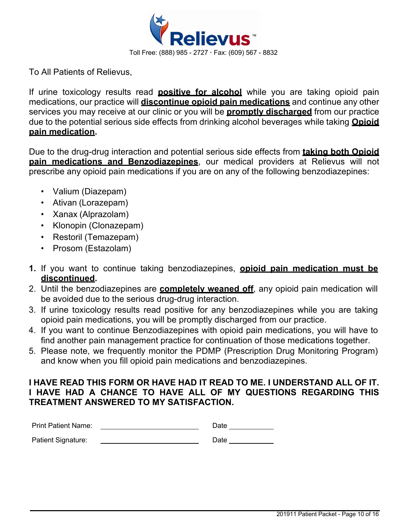

To All Patients of Relievus,

If urine toxicology results read **positive for alcohol** while you are taking opioid pain medications, our practice will **discontinue opioid pain medications** and continue any other services you may receive at our clinic or you will be **promptly discharged** from our practice due to the potential serious side effects from drinking alcohol beverages while taking **Opioid pain medication.**

Due to the drug-drug interaction and potential serious side effects from **taking both Opioid pain medications and Benzodiazepines**, our medical providers at Relievus will not prescribe any opioid pain medications if you are on any of the following benzodiazepines:

- Valium (Diazepam)
- Ativan (Lorazepam)
- Xanax (Alprazolam)
- Klonopin (Clonazepam)
- Restoril (Temazepam)
- Prosom (Estazolam)
- **1.** If you want to continue taking benzodiazepines, **opioid pain medication must be discontinued.**
- 2. Until the benzodiazepines are **completely weaned off**, any opioid pain medication will be avoided due to the serious drug-drug interaction.
- 3. If urine toxicology results read positive for any benzodiazepines while you are taking opioid pain medications, you will be promptly discharged from our practice.
- 4. If you want to continue Benzodiazepines with opioid pain medications, you will have to find another pain management practice for continuation of those medications together.
- 5. Please note, we frequently monitor the PDMP (Prescription Drug Monitoring Program) and know when you fill opioid pain medications and benzodiazepines.

## **I HAVE READ THIS FORM OR HAVE HAD IT READ TO ME. I UNDERSTAND ALL OF IT. I HAVE HAD A CHANCE TO HAVE ALL OF MY QUESTIONS REGARDING THIS TREATMENT ANSWERED TO MY SATISFACTION.**

| <b>Print Patient Name:</b> | Date |
|----------------------------|------|
| Patient Signature:         | Date |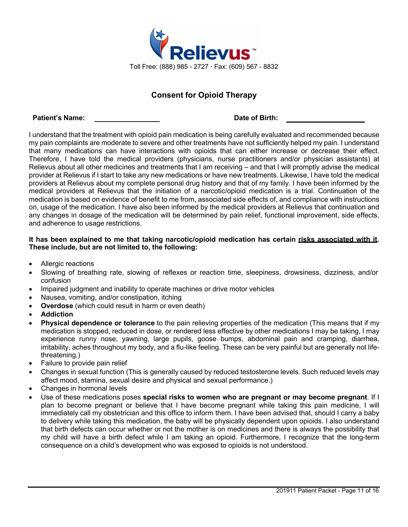

## **Consent for Opioid Therapy**

#### **Patient's Name: Date of Birth:**

I understand that the treatment with opioid pain medication is being carefully evaluated and recommended because my pain complaints are moderate to severe and other treatments have not sufficiently helped my pain. I understand that many medications can have interactions with opioids that can either increase or decrease their effect. Therefore, I have told the medical providers (physicians, nurse practitioners and/or physician assistants) at Relievus about all other medicines and treatments that I am receiving – and that I will promptly advise the medical provider at Relievus if I start to take any new medications or have new treatments. Likewise, I have told the medical providers at Relievus about my complete personal drug history and that of my family. I have been informed by the medical providers at Relievus that the initiation of a narcotic/opioid medication is a trial. Continuation of the medication is based on evidence of benefit to me from, associated side effects of, and compliance with instructions on, usage of the medication. I have also been informed by the medical providers at Relievus that continuation and any changes in dosage of the medication will be determined by pain relief, functional improvement, side effects, and adherence to usage restrictions.

### **It has been explained to me that taking narcotic/opioid medication has certain risks associated with it. These include, but are not limited to, the following:**

- Allergic reactions
- Slowing of breathing rate, slowing of reflexes or reaction time, sleepiness, drowsiness, dizziness, and/or confusion
- Impaired judgment and inability to operate machines or drive motor vehicles
- Nausea, vomiting, and/or constipation, itching
- **Overdose** (which could result in harm or even death)
- **Addiction**
- **Physical dependence or tolerance** to the pain relieving properties of the medication (This means that if my medication is stopped, reduced in dose, or rendered less effective by other medications I may be taking, I may experience runny nose, yawning, large pupils, goose bumps, abdominal pain and cramping, diarrhea, irritability, aches throughout my body, and a flu-like feeling. These can be very painful but are generally not lifethreatening.)
- Failure to provide pain relief
- Changes in sexual function (This is generally caused by reduced testosterone levels. Such reduced levels may affect mood, stamina, sexual desire and physical and sexual performance.)
- Changes in hormonal levels
- Use of these medications poses **special risks to women who are pregnant or may become pregnant**. If I plan to become pregnant or believe that I have become pregnant while taking this pain medicine, I will immediately call my obstetrician and this office to inform them. I have been advised that, should I carry a baby to delivery while taking this medication, the baby will be physically dependent upon opioids. I also understand that birth defects can occur whether or not the mother is on medicines and there is always the possibility that my child will have a birth defect while I am taking an opioid. Furthermore, I recognize that the long-term consequence on a child's development who was exposed to opioids is not understood.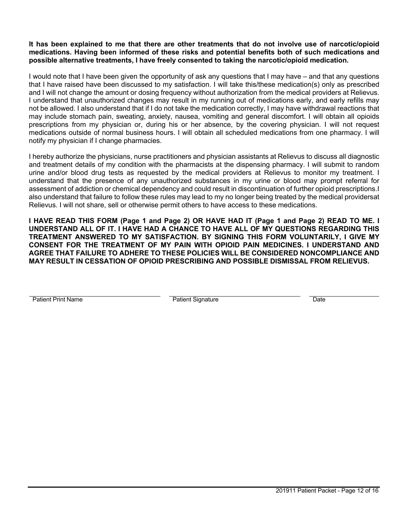### **It has been explained to me that there are other treatments that do not involve use of narcotic/opioid medications. Having been informed of these risks and potential benefits both of such medications and possible alternative treatments, I have freely consented to taking the narcotic/opioid medication.**

I would note that I have been given the opportunity of ask any questions that I may have – and that any questions that I have raised have been discussed to my satisfaction. I will take this/these medication(s) only as prescribed and I will not change the amount or dosing frequency without authorization from the medical providers at Relievus. I understand that unauthorized changes may result in my running out of medications early, and early refills may not be allowed. I also understand that if I do not take the medication correctly, I may have withdrawal reactions that may include stomach pain, sweating, anxiety, nausea, vomiting and general discomfort. I will obtain all opioids prescriptions from my physician or, during his or her absence, by the covering physician. I will not request medications outside of normal business hours. I will obtain all scheduled medications from one pharmacy. I will notify my physician if I change pharmacies.

I hereby authorize the physicians, nurse practitioners and physician assistants at Relievus to discuss all diagnostic and treatment details of my condition with the pharmacists at the dispensing pharmacy. I will submit to random urine and/or blood drug tests as requested by the medical providers at Relievus to monitor my treatment. I understand that the presence of any unauthorized substances in my urine or blood may prompt referral for assessment of addiction or chemical dependency and could result in discontinuation of further opioid prescriptions.I also understand that failure to follow these rules may lead to my no longer being treated by the medical providersat Relievus. I will not share, sell or otherwise permit others to have access to these medications.

**I HAVE READ THIS FORM (Page 1 and Page 2) OR HAVE HAD IT (Page 1 and Page 2) READ TO ME. I UNDERSTAND ALL OF IT. I HAVE HAD A CHANCE TO HAVE ALL OF MY QUESTIONS REGARDING THIS TREATMENT ANSWERED TO MY SATISFACTION. BY SIGNING THIS FORM VOLUNTARILY, I GIVE MY CONSENT FOR THE TREATMENT OF MY PAIN WITH OPIOID PAIN MEDICINES. I UNDERSTAND AND AGREE THAT FAILURE TO ADHERE TO THESE POLICIES WILL BE CONSIDERED NONCOMPLIANCE AND MAY RESULT IN CESSATION OF OPIOID PRESCRIBING AND POSSIBLE DISMISSAL FROM RELIEVUS.**

Patient Print Name **Patient Signature** Patient Signature Date **Date**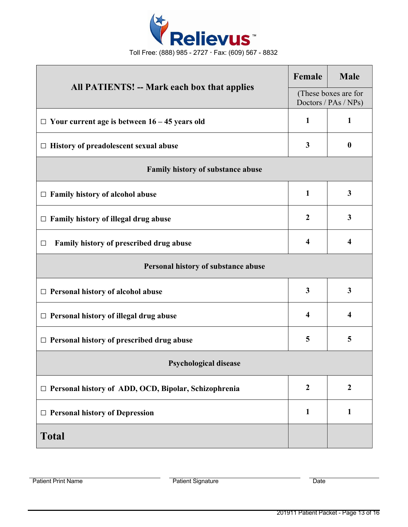

| <b>All PATIENTS! -- Mark each box that applies</b>     |                         | <b>Male</b>                                  |  |
|--------------------------------------------------------|-------------------------|----------------------------------------------|--|
|                                                        |                         | (These boxes are for<br>Doctors / PAs / NPs) |  |
| $\Box$ Your current age is between 16 – 45 years old   | $\mathbf{1}$            | $\mathbf{1}$                                 |  |
| $\Box$ History of preadolescent sexual abuse           | 3                       | $\boldsymbol{0}$                             |  |
| Family history of substance abuse                      |                         |                                              |  |
| $\Box$ Family history of alcohol abuse                 | $\mathbf{1}$            | 3                                            |  |
| Family history of illegal drug abuse<br>$\Box$         | $\boldsymbol{2}$        | 3                                            |  |
| Family history of prescribed drug abuse<br>□           | $\overline{\mathbf{4}}$ | $\overline{\mathbf{4}}$                      |  |
| Personal history of substance abuse                    |                         |                                              |  |
| $\Box$ Personal history of alcohol abuse               | $\mathbf{3}$            | $\overline{\mathbf{3}}$                      |  |
| $\Box$ Personal history of illegal drug abuse          | 4                       | $\overline{\mathbf{4}}$                      |  |
| $\Box$ Personal history of prescribed drug abuse       | 5                       | 5                                            |  |
| <b>Psychological disease</b>                           |                         |                                              |  |
| □ Personal history of ADD, OCD, Bipolar, Schizophrenia | $\boldsymbol{2}$        | $\boldsymbol{2}$                             |  |
| $\Box$ Personal history of Depression                  | $\mathbf{1}$            | $\mathbf{1}$                                 |  |
| <b>Total</b>                                           |                         |                                              |  |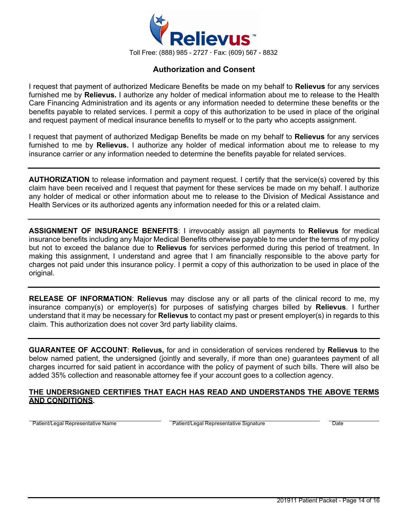

### **Authorization and Consent**

I request that payment of authorized Medicare Benefits be made on my behalf to **Relievus** for any services furnished me by **Relievus.** I authorize any holder of medical information about me to release to the Health Care Financing Administration and its agents or any information needed to determine these benefits or the benefits payable to related services. I permit a copy of this authorization to be used in place of the original and request payment of medical insurance benefits to myself or to the party who accepts assignment.

I request that payment of authorized Medigap Benefits be made on my behalf to **Relievus** for any services furnished to me by **Relievus.** I authorize any holder of medical information about me to release to my insurance carrier or any information needed to determine the benefits payable for related services.

**AUTHORIZATION** to release information and payment request. I certify that the service(s) covered by this claim have been received and I request that payment for these services be made on my behalf. I authorize any holder of medical or other information about me to release to the Division of Medical Assistance and Health Services or its authorized agents any information needed for this or a related claim.

**ASSIGNMENT OF INSURANCE BENEFITS**: I irrevocably assign all payments to **Relievus** for medical insurance benefits including any Major Medical Benefits otherwise payable to me under the terms of my policy but not to exceed the balance due to **Relievus** for services performed during this period of treatment. In making this assignment, I understand and agree that I am financially responsible to the above party for charges not paid under this insurance policy. I permit a copy of this authorization to be used in place of the original.

**RELEASE OF INFORMATION**: **Relievus** may disclose any or all parts of the clinical record to me, my insurance company(s) or employer(s) for purposes of satisfying charges billed by **Relievus**. I further understand that it may be necessary for **Relievus** to contact my past or present employer(s) in regards to this claim. This authorization does not cover 3rd party liability claims.

**GUARANTEE OF ACCOUNT**: **Relievus,** for and in consideration of services rendered by **Relievus** to the below named patient, the undersigned (jointly and severally, if more than one) guarantees payment of all charges incurred for said patient in accordance with the policy of payment of such bills. There will also be added 35% collection and reasonable attorney fee if your account goes to a collection agency.

### **THE UNDERSIGNED CERTIFIES THAT EACH HAS READ AND UNDERSTANDS THE ABOVE TERMS AND CONDITIONS.**

Patient/Legal Representative Name **Patient/Legal Representative Signature** Patient/Legal Representative Signature **Patient**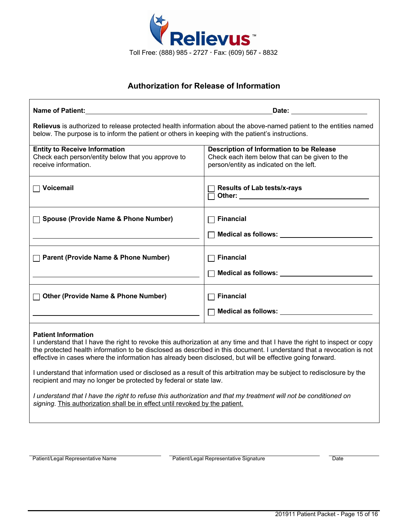

## **Authorization for Release of Information**

| Name of Patient: Name of Patient:                                                                                                                                                                                                                                                                                                                                                                                                                                                                                                                                                                                                                                                                              | Date: the contract of the contract of the contract of the contract of the contract of the contract of the contract of the contract of the contract of the contract of the contract of the contract of the contract of the cont                                                                  |  |  |
|----------------------------------------------------------------------------------------------------------------------------------------------------------------------------------------------------------------------------------------------------------------------------------------------------------------------------------------------------------------------------------------------------------------------------------------------------------------------------------------------------------------------------------------------------------------------------------------------------------------------------------------------------------------------------------------------------------------|-------------------------------------------------------------------------------------------------------------------------------------------------------------------------------------------------------------------------------------------------------------------------------------------------|--|--|
| Relievus is authorized to release protected health information about the above-named patient to the entities named<br>below. The purpose is to inform the patient or others in keeping with the patient's instructions.                                                                                                                                                                                                                                                                                                                                                                                                                                                                                        |                                                                                                                                                                                                                                                                                                 |  |  |
| <b>Entity to Receive Information</b><br>Check each person/entity below that you approve to<br>receive information.                                                                                                                                                                                                                                                                                                                                                                                                                                                                                                                                                                                             | Description of Information to be Release<br>Check each item below that can be given to the<br>person/entity as indicated on the left.                                                                                                                                                           |  |  |
| Voicemail                                                                                                                                                                                                                                                                                                                                                                                                                                                                                                                                                                                                                                                                                                      | <b>Results of Lab tests/x-rays</b>                                                                                                                                                                                                                                                              |  |  |
| <b>Spouse (Provide Name &amp; Phone Number)</b>                                                                                                                                                                                                                                                                                                                                                                                                                                                                                                                                                                                                                                                                | <b>Financial</b>                                                                                                                                                                                                                                                                                |  |  |
| <b>Parent (Provide Name &amp; Phone Number)</b>                                                                                                                                                                                                                                                                                                                                                                                                                                                                                                                                                                                                                                                                | <b>Financial</b><br>$\Box$ Medical as follows: $\Box$ and $\Box$ and $\Box$ and $\Box$ and $\Box$ and $\Box$ and $\Box$ and $\Box$ and $\Box$ and $\Box$ and $\Box$ and $\Box$ and $\Box$ and $\Box$ and $\Box$ and $\Box$ and $\Box$ and $\Box$ and $\Box$ and $\Box$ and $\Box$ and $\Box$ an |  |  |
| <b>Other (Provide Name &amp; Phone Number)</b>                                                                                                                                                                                                                                                                                                                                                                                                                                                                                                                                                                                                                                                                 | <b>Financial</b>                                                                                                                                                                                                                                                                                |  |  |
| <b>Patient Information</b><br>I understand that I have the right to revoke this authorization at any time and that I have the right to inspect or copy<br>the protected health information to be disclosed as described in this document. I understand that a revocation is not<br>effective in cases where the information has already been disclosed, but will be effective going forward.<br>I understand that information used or disclosed as a result of this arbitration may be subject to redisclosure by the<br>recipient and may no longer be protected by federal or state law.<br>I understand that I have the right to refuse this authorization and that my treatment will not be conditioned on |                                                                                                                                                                                                                                                                                                 |  |  |
| signing. This authorization shall be in effect until revoked by the patient.                                                                                                                                                                                                                                                                                                                                                                                                                                                                                                                                                                                                                                   |                                                                                                                                                                                                                                                                                                 |  |  |

Patient/Legal Representative Name **Patient/Legal Representative Signature** Patient/Legal Representative Signature